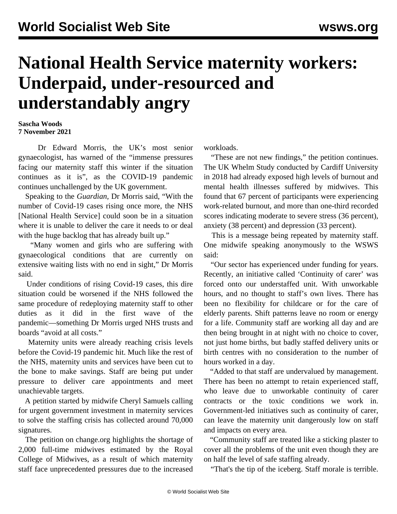## **National Health Service maternity workers: Underpaid, under-resourced and understandably angry**

## **Sascha Woods 7 November 2021**

 Dr Edward Morris, the UK's most senior gynaecologist, has warned of the "immense pressures facing our maternity staff this winter if the situation continues as it is", as the COVID-19 pandemic continues unchallenged by the UK government.

 Speaking to the *Guardian,* Dr Morris said, "With the number of Covid-19 cases rising once more, the NHS [National Health Service] could soon be in a situation where it is unable to deliver the care it needs to or deal with the huge backlog that has already built up."

 "Many women and girls who are suffering with gynaecological conditions that are currently on extensive waiting lists with no end in sight," Dr Morris said.

 Under conditions of rising Covid-19 cases, this dire situation could be worsened if the NHS followed the same procedure of redeploying maternity staff to other duties as it did in the first wave of the pandemic—something Dr Morris urged NHS trusts and boards "avoid at all costs."

 Maternity units were already reaching crisis levels before the Covid-19 pandemic hit. Much like the rest of the NHS, maternity units and services have been cut to the bone to make savings. Staff are being put under pressure to deliver care appointments and meet unachievable targets.

 A petition started by midwife Cheryl Samuels calling for urgent government investment in maternity services to solve the staffing crisis has collected around 70,000 signatures.

 The [petition](https://www.change.org/p/sajidjavid-support-urgent-government-support-and-investment-into-maternity-services-to-solve-the-staffing-crisis?utm_content=cl_sharecopy_30710057_en-GB%3A6&recruiter=70080931&utm_source=share_petition&utm_medium=copylink&utm_campaign=tap_basic_share) on change.org highlights the shortage of 2,000 full-time midwives estimated by the Royal College of Midwives, as a result of which maternity staff face unprecedented pressures due to the increased workloads.

 "These are not new findings," the petition continues. The [UK Whelm Study](https://www.rcm.org.uk/media/2924/work-health-and-emotional-lives-of-midwives-in-the-united-kingdom-the-uk-whelm-study.pdf) conducted by Cardiff University in 2018 had already exposed high levels of burnout and mental health illnesses suffered by midwives. This found that 67 percent of participants were experiencing work-related burnout, and more than one-third recorded scores indicating moderate to severe stress (36 percent), anxiety (38 percent) and depression (33 percent).

 This is a message being repeated by maternity staff. One midwife speaking anonymously to the WSWS said:

 "Our sector has experienced under funding for years. Recently, an initiative called 'Continuity of carer' was forced onto our understaffed unit. With unworkable hours, and no thought to staff's own lives. There has been no flexibility for childcare or for the care of elderly parents. Shift patterns leave no room or energy for a life. Community staff are working all day and are then being brought in at night with no choice to cover, not just home births, but badly staffed delivery units or birth centres with no consideration to the number of hours worked in a day.

 "Added to that staff are undervalued by management. There has been no attempt to retain experienced staff, who leave due to unworkable continuity of carer contracts or the toxic conditions we work in. Government-led initiatives such as continuity of carer, can leave the maternity unit dangerously low on staff and impacts on every area.

 "Community staff are treated like a sticking plaster to cover all the problems of the unit even though they are on half the level of safe staffing already.

"That's the tip of the iceberg. Staff morale is terrible.